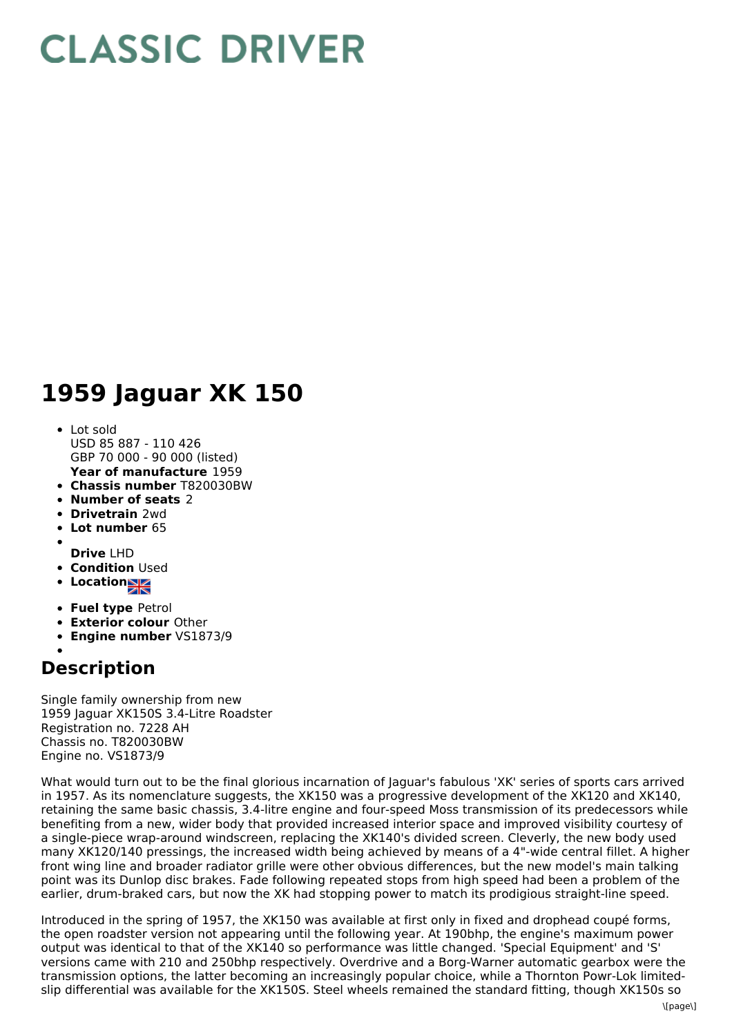## **CLASSIC DRIVER**

## **1959 Jaguar XK 150**

- **Year of manufacture** 1959 Lot sold USD 85 887 - 110 426 GBP 70 000 - 90 000 (listed)
- **Chassis number** T820030BW
- **Number of seats** 2
- **Drivetrain** 2wd
- **Lot number** 65
- 
- **Drive** LHD
- **Condition Used**
- **Locations**
- **Fuel type** Petrol
- **Exterior colour** Other
- **Engine number** VS1873/9

## **Description**

Single family ownership from new 1959 Jaguar XK150S 3.4-Litre Roadster Registration no. 7228 AH Chassis no. T820030BW Engine no. VS1873/9

What would turn out to be the final glorious incarnation of Jaguar's fabulous 'XK' series of sports cars arrived in 1957. As its nomenclature suggests, the XK150 was a progressive development of the XK120 and XK140, retaining the same basic chassis, 3.4-litre engine and four-speed Moss transmission of its predecessors while benefiting from a new, wider body that provided increased interior space and improved visibility courtesy of a single-piece wrap-around windscreen, replacing the XK140's divided screen. Cleverly, the new body used many XK120/140 pressings, the increased width being achieved by means of a 4"-wide central fillet. A higher front wing line and broader radiator grille were other obvious differences, but the new model's main talking point was its Dunlop disc brakes. Fade following repeated stops from high speed had been a problem of the earlier, drum-braked cars, but now the XK had stopping power to match its prodigious straight-line speed.

Introduced in the spring of 1957, the XK150 was available at first only in fixed and drophead coupé forms, the open roadster version not appearing until the following year. At 190bhp, the engine's maximum power output was identical to that of the XK140 so performance was little changed. 'Special Equipment' and 'S' versions came with 210 and 250bhp respectively. Overdrive and a Borg-Warner automatic gearbox were the transmission options, the latter becoming an increasingly popular choice, while a Thornton Powr-Lok limitedslip differential was available for the XK150S. Steel wheels remained the standard fitting, though XK150s so